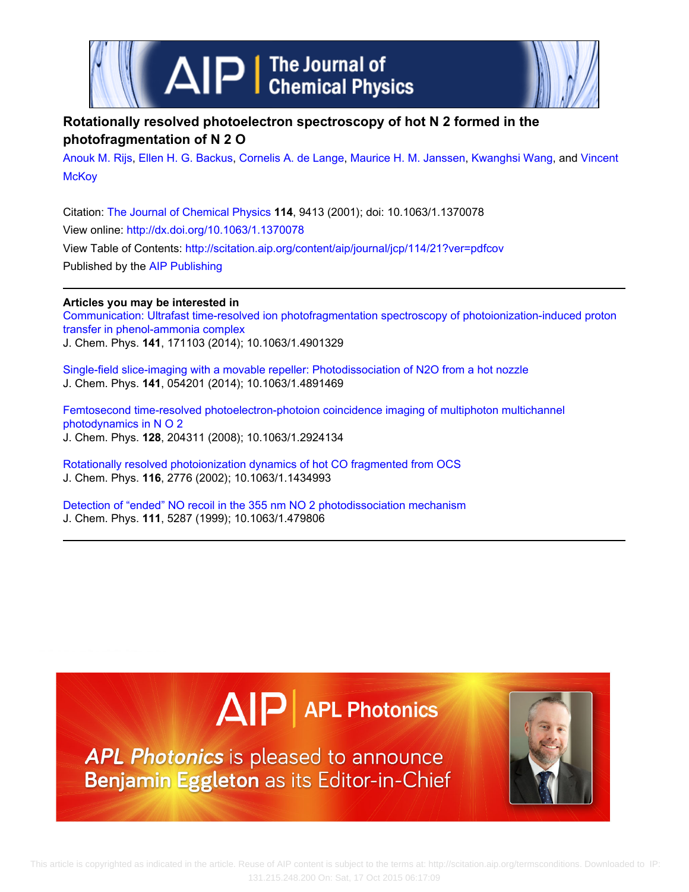



## **Rotationally resolved photoelectron spectroscopy of hot N 2 formed in the photofragmentation of N 2 O**

[Anouk M. Rijs,](http://scitation.aip.org/search?value1=Anouk+M.+Rijs&option1=author) [Ellen H. G. Backus](http://scitation.aip.org/search?value1=Ellen+H.+G.+Backus&option1=author), [Cornelis A. de Lange,](http://scitation.aip.org/search?value1=Cornelis+A.+de+Lange&option1=author) [Maurice H. M. Janssen,](http://scitation.aip.org/search?value1=Maurice+H.+M.+Janssen&option1=author) [Kwanghsi Wang](http://scitation.aip.org/search?value1=Kwanghsi+Wang&option1=author), and [Vincent](http://scitation.aip.org/search?value1=Vincent+McKoy&option1=author) **[McKoy](http://scitation.aip.org/search?value1=Vincent+McKoy&option1=author)** 

Citation: [The Journal of Chemical Physics](http://scitation.aip.org/content/aip/journal/jcp?ver=pdfcov) **114**, 9413 (2001); doi: 10.1063/1.1370078 View online: <http://dx.doi.org/10.1063/1.1370078> View Table of Contents: <http://scitation.aip.org/content/aip/journal/jcp/114/21?ver=pdfcov> Published by the [AIP Publishing](http://scitation.aip.org/content/aip?ver=pdfcov)

**Articles you may be interested in** [Communication: Ultrafast time-resolved ion photofragmentation spectroscopy of photoionization-induced proton](http://scitation.aip.org/content/aip/journal/jcp/141/17/10.1063/1.4901329?ver=pdfcov) [transfer in phenol-ammonia complex](http://scitation.aip.org/content/aip/journal/jcp/141/17/10.1063/1.4901329?ver=pdfcov) J. Chem. Phys. **141**, 171103 (2014); 10.1063/1.4901329

[Single-field slice-imaging with a movable repeller: Photodissociation of N2O from a hot nozzle](http://scitation.aip.org/content/aip/journal/jcp/141/5/10.1063/1.4891469?ver=pdfcov) J. Chem. Phys. **141**, 054201 (2014); 10.1063/1.4891469

[Femtosecond time-resolved photoelectron-photoion coincidence imaging of multiphoton multichannel](http://scitation.aip.org/content/aip/journal/jcp/128/20/10.1063/1.2924134?ver=pdfcov) [photodynamics in N O 2](http://scitation.aip.org/content/aip/journal/jcp/128/20/10.1063/1.2924134?ver=pdfcov) J. Chem. Phys. **128**, 204311 (2008); 10.1063/1.2924134

[Rotationally resolved photoionization dynamics of hot CO fragmented from OCS](http://scitation.aip.org/content/aip/journal/jcp/116/7/10.1063/1.1434993?ver=pdfcov) J. Chem. Phys. **116**, 2776 (2002); 10.1063/1.1434993

[Detection of "ended" NO recoil in the 355 nm NO 2 photodissociation mechanism](http://scitation.aip.org/content/aip/journal/jcp/111/12/10.1063/1.479806?ver=pdfcov) J. Chem. Phys. **111**, 5287 (1999); 10.1063/1.479806

# $\Delta$   $\vert P \vert$  APL Photonics

APL Photonics is pleased to announce Benjamin Eggleton as its Editor-in-Chief

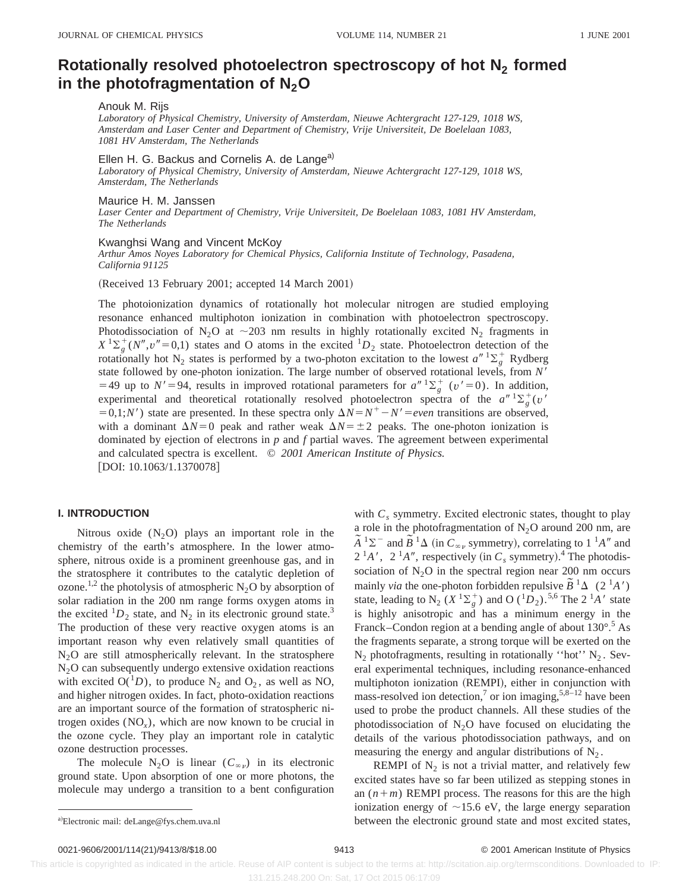## **Rotationally resolved photoelectron spectroscopy of hot N<sub>2</sub> formed** in the photofragmentation of N<sub>2</sub>O

### Anouk M. Rijs

*Laboratory of Physical Chemistry, University of Amsterdam, Nieuwe Achtergracht 127-129, 1018 WS, Amsterdam and Laser Center and Department of Chemistry, Vrije Universiteit, De Boelelaan 1083, 1081 HV Amsterdam, The Netherlands*

Ellen H. G. Backus and Cornelis A. de Lange<sup>a)</sup>

*Laboratory of Physical Chemistry, University of Amsterdam, Nieuwe Achtergracht 127-129, 1018 WS, Amsterdam, The Netherlands*

#### Maurice H. M. Janssen

*Laser Center and Department of Chemistry, Vrije Universiteit, De Boelelaan 1083, 1081 HV Amsterdam, The Netherlands*

#### Kwanghsi Wang and Vincent McKoy

*Arthur Amos Noyes Laboratory for Chemical Physics, California Institute of Technology, Pasadena, California 91125*

(Received 13 February 2001; accepted 14 March 2001)

The photoionization dynamics of rotationally hot molecular nitrogen are studied employing resonance enhanced multiphoton ionization in combination with photoelectron spectroscopy. Photodissociation of N<sub>2</sub>O at  $\sim$  203 nm results in highly rotationally excited N<sub>2</sub> fragments in  $X$ <sup>1</sup> $\Sigma_g^+(N'', v''=0,1)$  states and O atoms in the excited <sup>1</sup> $D_2$  state. Photoelectron detection of the rotationally hot N<sub>2</sub> states is performed by a two-photon excitation to the lowest  $a''$   ${}^{1}\Sigma_{g}^{+}$  Rydberg state followed by one-photon ionization. The large number of observed rotational levels, from N' =49 up to  $N' = 94$ , results in improved rotational parameters for  $a'' \Sigma_g^+$  ( $v' = 0$ ). In addition, experimental and theoretical rotationally resolved photoelectron spectra of the  $a''$   $\frac{1}{2}(\frac{1}{g}(v''))$  $=0,1;N'$  state are presented. In these spectra only  $\Delta N = N^+ - N' = even$  transitions are observed, with a dominant  $\Delta N=0$  peak and rather weak  $\Delta N=\pm 2$  peaks. The one-photon ionization is dominated by ejection of electrons in *p* and *f* partial waves. The agreement between experimental and calculated spectra is excellent. © *2001 American Institute of Physics.*  $[DOI: 10.1063/1.1370078]$ 

#### **I. INTRODUCTION**

Nitrous oxide  $(N_2O)$  plays an important role in the chemistry of the earth's atmosphere. In the lower atmosphere, nitrous oxide is a prominent greenhouse gas, and in the stratosphere it contributes to the catalytic depletion of ozone.<sup>1,2</sup> the photolysis of atmospheric N<sub>2</sub>O by absorption of solar radiation in the 200 nm range forms oxygen atoms in the excited  ${}^{1}D_2$  state, and N<sub>2</sub> in its electronic ground state.<sup>3</sup> The production of these very reactive oxygen atoms is an important reason why even relatively small quantities of  $N<sub>2</sub>O$  are still atmospherically relevant. In the stratosphere N2O can subsequently undergo extensive oxidation reactions with excited  $O(^{1}D)$ , to produce N<sub>2</sub> and O<sub>2</sub>, as well as NO, and higher nitrogen oxides. In fact, photo-oxidation reactions are an important source of the formation of stratospheric nitrogen oxides (NO*x*), which are now known to be crucial in the ozone cycle. They play an important role in catalytic ozone destruction processes.

The molecule N<sub>2</sub>O is linear  $(C_{\infty,\nu})$  in its electronic ground state. Upon absorption of one or more photons, the molecule may undergo a transition to a bent configuration with  $C_s$  symmetry. Excited electronic states, thought to play a role in the photofragmentation of  $N_2O$  around 200 nm, are  $\tilde{A}^{-1}\Sigma^{-}$  and  $\tilde{B}^{-1}\Delta$  (in  $C_{\infty}$ , symmetry), correlating to 1<sup>1</sup>*A<sup>n</sup>* and  $2<sup>1</sup>A'$ ,  $2<sup>1</sup>A''$ , respectively (in  $C_s$  symmetry).<sup>4</sup> The photodissociation of  $N<sub>2</sub>O$  in the spectral region near 200 nm occurs mainly *via* the one-photon forbidden repulsive  $\tilde{B}^1\Delta$  (2<sup>1</sup>*A'*) state, leading to  $N_2$  ( $X^1\Sigma_g^+$ ) and O ( ${}^1D_2$ ).<sup>5,6</sup> The 2<sup>1</sup>A' state is highly anisotropic and has a minimum energy in the Franck–Condon region at a bending angle of about  $130^{\circ}$ .<sup>5</sup> As the fragments separate, a strong torque will be exerted on the  $N_2$  photofragments, resulting in rotationally "hot"  $N_2$ . Several experimental techniques, including resonance-enhanced multiphoton ionization (REMPI), either in conjunction with mass-resolved ion detection,<sup>7</sup> or ion imaging,<sup>5,8–12</sup> have been used to probe the product channels. All these studies of the photodissociation of  $N_2O$  have focused on elucidating the details of the various photodissociation pathways, and on measuring the energy and angular distributions of  $N_2$ .

REMPI of  $N_2$  is not a trivial matter, and relatively few excited states have so far been utilized as stepping stones in an  $(n+m)$  REMPI process. The reasons for this are the high ionization energy of  $\sim$ 15.6 eV, the large energy separation between the electronic ground state and most excited states,

0021-9606/2001/114(21)/9413/8/\$18.00 © 2001 American Institute of Physics 9413

a)Electronic mail: deLange@fys.chem.uva.nl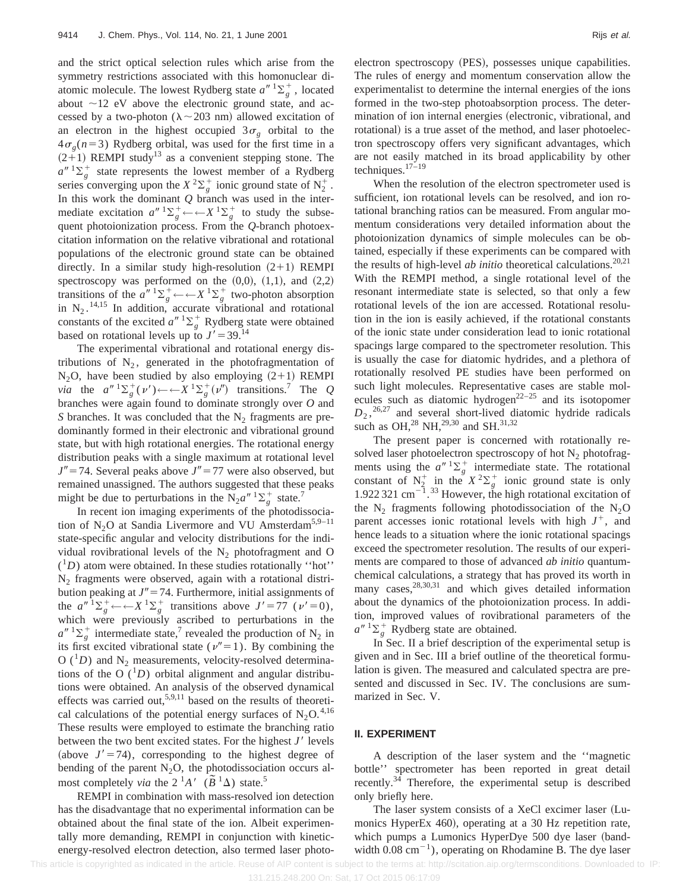and the strict optical selection rules which arise from the symmetry restrictions associated with this homonuclear diatomic molecule. The lowest Rydberg state  $a''$ <sup>1</sup> $\Sigma_g^+$ , located about  $\sim$ 12 eV above the electronic ground state, and accessed by a two-photon ( $\lambda \sim 203$  nm) allowed excitation of an electron in the highest occupied  $3\sigma_{\varphi}$  orbital to the  $4\sigma_{\varphi}(n=3)$  Rydberg orbital, was used for the first time in a  $(2+1)$  REMPI study<sup>13</sup> as a convenient stepping stone. The  $a^{n}$ <sup>1</sup> $\sum_{g}$  state represents the lowest member of a Rydberg series converging upon the  $X^2\Sigma_g^+$  ionic ground state of  $N_2^+$ . In this work the dominant *Q* branch was used in the intermediate excitation  $a'' \Sigma_g^+ \leftarrow \leftarrow X \Sigma_g^+$  to study the subsequent photoionization process. From the *Q*-branch photoexcitation information on the relative vibrational and rotational populations of the electronic ground state can be obtained directly. In a similar study high-resolution  $(2+1)$  REMPI spectroscopy was performed on the  $(0,0)$ ,  $(1,1)$ , and  $(2,2)$ transitions of the  $a''$   $\Sigma_g^+ \leftarrow \leftarrow X$   $^1\Sigma_g^+$  two-photon absorption in  $N_2$ .<sup>14,15</sup> In addition, accurate vibrational and rotational constants of the excited  $a''$ <sup>1</sup> $\Sigma_g^+$  Rydberg state were obtained based on rotational levels up to  $J' = 39$ .<sup>14</sup>

The experimental vibrational and rotational energy distributions of  $N_2$ , generated in the photofragmentation of  $N_2O$ , have been studied by also employing  $(2+1)$  REMPI *via* the  $a''^{1}\Sigma_{g}^{+}(v') \leftarrow \leftarrow X^{1}\Sigma_{g}^{+}(v'')$  transitions.<sup>7</sup> The *Q* branches were again found to dominate strongly over *O* and *S* branches. It was concluded that the  $N_2$  fragments are predominantly formed in their electronic and vibrational ground state, but with high rotational energies. The rotational energy distribution peaks with a single maximum at rotational level  $J'' = 74$ . Several peaks above  $J'' = 77$  were also observed, but remained unassigned. The authors suggested that these peaks might be due to perturbations in the  $N_2a^{n}$ <sup>1</sup> $\Sigma_g^+$  state.<sup>7</sup>

In recent ion imaging experiments of the photodissociation of  $N_2O$  at Sandia Livermore and VU Amsterdam<sup>5,9–11</sup> state-specific angular and velocity distributions for the individual rovibrational levels of the  $N_2$  photofragment and O  $(1D)$  atom were obtained. In these studies rotationally "hot"  $N_2$  fragments were observed, again with a rotational distribution peaking at  $J'' = 74$ . Furthermore, initial assignments of the  $a''^{-1}\Sigma_g^+ \leftarrow X^1\Sigma_g^+$  transitions above  $J' = 77$  ( $\nu' = 0$ ), which were previously ascribed to perturbations in the  $a''$ <sup>1</sup> $\sum_{g}$ <sup>+</sup> intermediate state,<sup>7</sup> revealed the production of N<sub>2</sub> in its first excited vibrational state ( $v''=1$ ). By combining the O  $(^1D)$  and N<sub>2</sub> measurements, velocity-resolved determinations of the O  $(^1D)$  orbital alignment and angular distributions were obtained. An analysis of the observed dynamical effects was carried out,<sup>5,9,11</sup> based on the results of theoretical calculations of the potential energy surfaces of  $N_2O$ .<sup>4,16</sup> These results were employed to estimate the branching ratio between the two bent excited states. For the highest  $J'$  levels (above  $J' = 74$ ), corresponding to the highest degree of bending of the parent  $N_2O$ , the photodissociation occurs almost completely *via* the  $2^1A'$  ( $\tilde{B}^1\Delta$ ) state.<sup>5</sup>

REMPI in combination with mass-resolved ion detection has the disadvantage that no experimental information can be obtained about the final state of the ion. Albeit experimentally more demanding, REMPI in conjunction with kineticenergy-resolved electron detection, also termed laser photoelectron spectroscopy (PES), possesses unique capabilities. The rules of energy and momentum conservation allow the experimentalist to determine the internal energies of the ions formed in the two-step photoabsorption process. The determination of ion internal energies (electronic, vibrational, and rotational) is a true asset of the method, and laser photoelectron spectroscopy offers very significant advantages, which are not easily matched in its broad applicability by other techniques.17–19

When the resolution of the electron spectrometer used is sufficient, ion rotational levels can be resolved, and ion rotational branching ratios can be measured. From angular momentum considerations very detailed information about the photoionization dynamics of simple molecules can be obtained, especially if these experiments can be compared with the results of high-level *ab initio* theoretical calculations.<sup>20,21</sup> With the REMPI method, a single rotational level of the resonant intermediate state is selected, so that only a few rotational levels of the ion are accessed. Rotational resolution in the ion is easily achieved, if the rotational constants of the ionic state under consideration lead to ionic rotational spacings large compared to the spectrometer resolution. This is usually the case for diatomic hydrides, and a plethora of rotationally resolved PE studies have been performed on such light molecules. Representative cases are stable molecules such as diatomic hydrogen<sup>22–25</sup> and its isotopomer  $D_2$ ,<sup>26,27</sup> and several short-lived diatomic hydride radicals such as OH,<sup>28</sup> NH,<sup>29,30</sup> and SH.<sup>31,32</sup>

The present paper is concerned with rotationally resolved laser photoelectron spectroscopy of hot  $N_2$  photofragments using the  $a''$ <sup>1</sup> $\Sigma_g^+$  intermediate state. The rotational constant of  $N_2^+$  in the  $X^2\Sigma_g^+$  ionic ground state is only 1.922 321  $\text{cm}^{-1}$ .<sup>33</sup> However, the high rotational excitation of the  $N_2$  fragments following photodissociation of the  $N_2$ O parent accesses ionic rotational levels with high  $J^+$ , and hence leads to a situation where the ionic rotational spacings exceed the spectrometer resolution. The results of our experiments are compared to those of advanced *ab initio* quantumchemical calculations, a strategy that has proved its worth in many cases,  $28,30,31$  and which gives detailed information about the dynamics of the photoionization process. In addition, improved values of rovibrational parameters of the  $a''$ <sup>1</sup> $\sum_{g}$ <sup>+</sup> Rydberg state are obtained.

In Sec. II a brief description of the experimental setup is given and in Sec. III a brief outline of the theoretical formulation is given. The measured and calculated spectra are presented and discussed in Sec. IV. The conclusions are summarized in Sec. V.

#### **II. EXPERIMENT**

A description of the laser system and the ''magnetic bottle'' spectrometer has been reported in great detail recently.34 Therefore, the experimental setup is described only briefly here.

The laser system consists of a XeCl excimer laser (Lumonics HyperEx 460), operating at a 30 Hz repetition rate, which pumps a Lumonics HyperDye 500 dye laser (bandwidth  $0.08 \text{ cm}^{-1}$ , operating on Rhodamine B. The dye laser

This article is copyrighted as indicated in the article. Reuse of AIP content is subject to the terms at: http://scitation.aip.org/termsconditions. Downloaded to IP: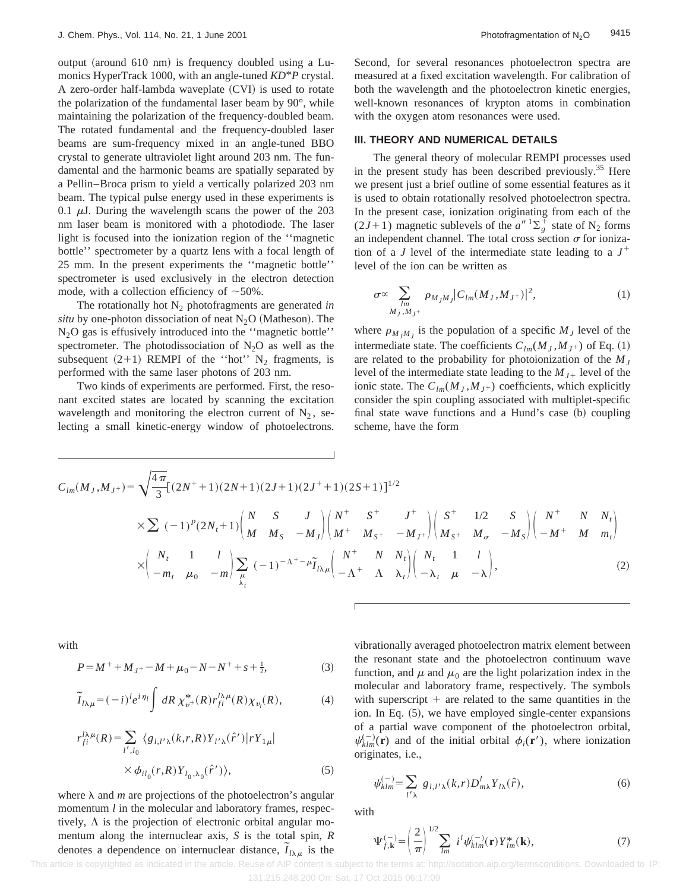output (around  $610$  nm) is frequency doubled using a Lumonics HyperTrack 1000, with an angle-tuned *KD*\**P* crystal. A zero-order half-lambda waveplate  $(CVI)$  is used to rotate the polarization of the fundamental laser beam by 90°, while maintaining the polarization of the frequency-doubled beam. The rotated fundamental and the frequency-doubled laser beams are sum-frequency mixed in an angle-tuned BBO crystal to generate ultraviolet light around 203 nm. The fundamental and the harmonic beams are spatially separated by a Pellin–Broca prism to yield a vertically polarized 203 nm beam. The typical pulse energy used in these experiments is 0.1  $\mu$ J. During the wavelength scans the power of the 203 nm laser beam is monitored with a photodiode. The laser light is focused into the ionization region of the ''magnetic bottle'' spectrometer by a quartz lens with a focal length of 25 mm. In the present experiments the ''magnetic bottle'' spectrometer is used exclusively in the electron detection mode, with a collection efficiency of  $~50\%$ .

The rotationally hot  $N_2$  photofragments are generated *in situ* by one-photon dissociation of neat  $N_2O$  (Matheson). The  $N<sub>2</sub>O$  gas is effusively introduced into the "magnetic bottle" spectrometer. The photodissociation of  $N_2O$  as well as the subsequent  $(2+1)$  REMPI of the "hot" N<sub>2</sub> fragments, is performed with the same laser photons of 203 nm.

Two kinds of experiments are performed. First, the resonant excited states are located by scanning the excitation wavelength and monitoring the electron current of  $N_2$ , selecting a small kinetic-energy window of photoelectrons. Second, for several resonances photoelectron spectra are measured at a fixed excitation wavelength. For calibration of both the wavelength and the photoelectron kinetic energies, well-known resonances of krypton atoms in combination with the oxygen atom resonances were used.

#### **III. THEORY AND NUMERICAL DETAILS**

The general theory of molecular REMPI processes used in the present study has been described previously.<sup>35</sup> Here we present just a brief outline of some essential features as it is used to obtain rotationally resolved photoelectron spectra. In the present case, ionization originating from each of the  $(2J+1)$  magnetic sublevels of the  $a''$ <sup>1</sup> $\Sigma_g^+$  state of N<sub>2</sub> forms an independent channel. The total cross section  $\sigma$  for ionization of a *J* level of the intermediate state leading to a  $J^+$ level of the ion can be written as

$$
\sigma \propto \sum_{\substack{lm \\ M_J, M_J^+}} \rho_{M_J M_J} |C_{lm}(M_J, M_{J^+})|^2, \tag{1}
$$

where  $\rho_{M,M}$  is the population of a specific  $M_J$  level of the intermediate state. The coefficients  $C_{lm}(M_J, M_{J^+})$  of Eq. (1) are related to the probability for photoionization of the  $M_J$ level of the intermediate state leading to the  $M_{J+}$  level of the ionic state. The  $C_{lm}(M_J, M_{J^+})$  coefficients, which explicitly consider the spin coupling associated with multiplet-specific final state wave functions and a Hund's case (b) coupling scheme, have the form

$$
C_{lm}(M_J, M_{J^+}) = \sqrt{\frac{4\pi}{3}} [(2N^+ + 1)(2N + 1)(2J + 1)(2J^+ + 1)(2S + 1)]^{1/2}
$$
  
\n
$$
\times \sum (-1)^P (2N_t + 1) \begin{pmatrix} N & S & J \\ M & M_S & -M_J \end{pmatrix} \begin{pmatrix} N^+ & S^+ & J^+ \\ M^+ & M_{S^+} & -M_{J^+} \end{pmatrix} \begin{pmatrix} S^+ & 1/2 & S \\ M_S^+ & M_{\sigma} & -M_S \end{pmatrix} \begin{pmatrix} N^+ & N & N_t \\ -M^+ & M & m_t \end{pmatrix}
$$
  
\n
$$
\times \begin{pmatrix} N_t & 1 & l \\ -m_t & \mu_0 & -m \end{pmatrix} \sum_{\lambda_t} (-1)^{-\Lambda^+ - \mu} \widetilde{I}_{l\lambda\mu} \begin{pmatrix} N^+ & N & N_t \\ -\Lambda^+ & \Lambda & \lambda_t \end{pmatrix} \begin{pmatrix} N_t & 1 & l \\ -\lambda_t & \mu & -\lambda \end{pmatrix},
$$
 (2)

with

$$
P = M^{+} + M_{J^{+}} - M + \mu_{0} - N - N^{+} + s + \frac{1}{2},
$$
\n(3)

$$
\widetilde{I}_{l\lambda\mu} = (-i)^l e^{i\eta_l} \int dR \,\chi^*_{v^+}(R) r_{fi}^{l\lambda\mu}(R) \chi_{v_i}(R),\tag{4}
$$

$$
r_{fi}^{l\lambda\mu}(R) = \sum_{l',l_0} \langle g_{l,l'\lambda}(k,r,R) Y_{l'\lambda}(\hat{r}') | rY_{1\mu} |
$$
  
 
$$
\times \phi_{il_0}(r,R) Y_{l_0,\lambda_0}(\hat{r}') \rangle,
$$
 (5)

where  $\lambda$  and *m* are projections of the photoelectron's angular momentum *l* in the molecular and laboratory frames, respectively,  $\Lambda$  is the projection of electronic orbital angular momentum along the internuclear axis, *S* is the total spin, *R* denotes a dependence on internuclear distance,  $\tilde{I}_{l\lambda\mu}$  is the vibrationally averaged photoelectron matrix element between the resonant state and the photoelectron continuum wave function, and  $\mu$  and  $\mu_0$  are the light polarization index in the molecular and laboratory frame, respectively. The symbols with superscript  $+$  are related to the same quantities in the ion. In Eq.  $(5)$ , we have employed single-center expansions of a partial wave component of the photoelectron orbital,  $\psi_{klm}^{(-)}(\mathbf{r})$  and of the initial orbital  $\phi_i(\mathbf{r}')$ , where ionization originates, i.e.,

$$
\psi_{klm}^{(-)} = \sum_{l'\lambda} g_{l,l'\lambda}(k,r) D_{m\lambda}^l Y_{l\lambda}(\hat{r}), \tag{6}
$$

with

$$
\Psi_{f,\mathbf{k}}^{(-)} = \left(\frac{2}{\pi}\right)^{1/2} \sum_{lm} i^l \psi_{klm}^{(-)}(\mathbf{r}) Y_{lm}^*(\mathbf{k}),\tag{7}
$$

 This article is copyrighted as indicated in the article. Reuse of AIP content is subject to the terms at: http://scitation.aip.org/termsconditions. Downloaded to IP: 131.215.248.200 On: Sat, 17 Oct 2015 06:17:09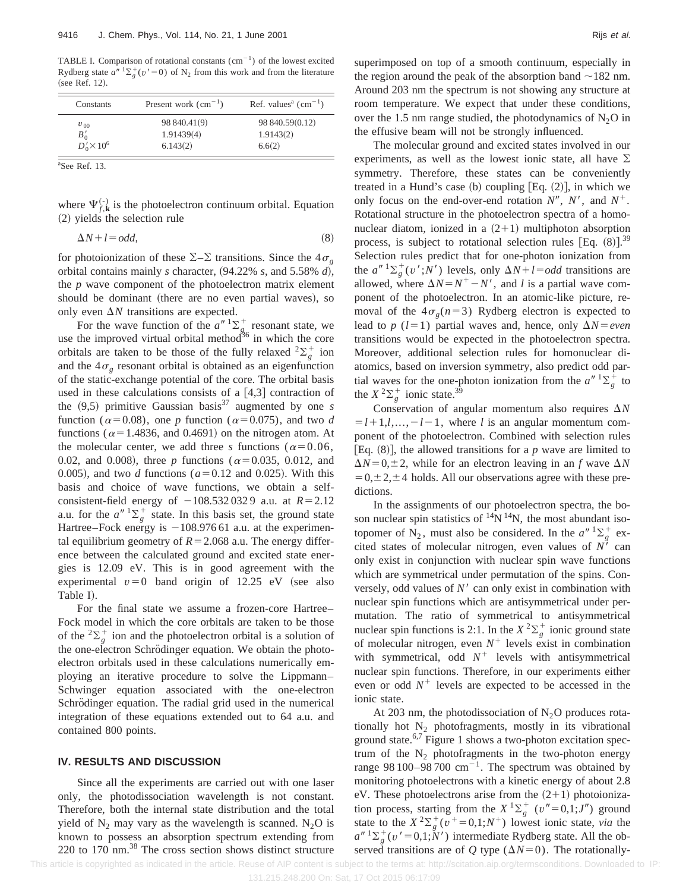TABLE I. Comparison of rotational constants  $(cm<sup>-1</sup>)$  of the lowest excited Rydberg state  $a''$ <sup>1</sup> $\sum_{g}^{+}(v' = 0)$  of N<sub>2</sub> from this work and from the literature (see Ref. 12).

| Constants                    | Present work $(cm^{-1})$ | Ref. values <sup>a</sup> $(cm-1)$ |
|------------------------------|--------------------------|-----------------------------------|
| $v_{00}$                     | 98 840.41(9)             | 98 840.59(0.12)                   |
| $B'_0$<br>$D'_0 \times 10^6$ | 1.91439(4)               | 1.9143(2)                         |
|                              | 6.143(2)                 | 6.6(2)                            |

a See Ref. 13.

where  $\Psi_{f, \mathbf{k}}^{(-)}$  is the photoelectron continuum orbital. Equation  $(2)$  yields the selection rule

$$
\Delta N + l = odd,\tag{8}
$$

for photoionization of these  $\Sigma$ - $\Sigma$  transitions. Since the  $4\sigma_{\varphi}$ orbital contains mainly *s* character,  $(94.22\% \, s, \text{ and } 5.58\% \, d)$ , the *p* wave component of the photoelectron matrix element should be dominant (there are no even partial waves), so only even  $\Delta N$  transitions are expected.

For the wave function of the  $a^{n-1}\Sigma_g^+$  resonant state, we use the improved virtual orbital method $36$  in which the core orbitals are taken to be those of the fully relaxed  ${}^{2}\Sigma_{g}^{+}$  ion and the  $4\sigma_{\varrho}$  resonant orbital is obtained as an eigenfunction of the static-exchange potential of the core. The orbital basis used in these calculations consists of a  $[4,3]$  contraction of the  $(9,5)$  primitive Gaussian basis<sup>37</sup> augmented by one *s* function ( $\alpha$ =0.08), one *p* function ( $\alpha$ =0.075), and two *d* functions ( $\alpha$ =1.4836, and 0.4691) on the nitrogen atom. At the molecular center, we add three *s* functions ( $\alpha$ =0.06, 0.02, and 0.008), three *p* functions ( $\alpha$ =0.035, 0.012, and 0.005), and two *d* functions ( $a=0.12$  and 0.025). With this basis and choice of wave functions, we obtain a selfconsistent-field energy of  $-108.532 032 9$  a.u. at  $R=2.12$ a.u. for the  $a''$   ${}^{1}\Sigma_{g}^{+}$  state. In this basis set, the ground state Hartree–Fock energy is  $-108.97661$  a.u. at the experimental equilibrium geometry of  $R = 2.068$  a.u. The energy difference between the calculated ground and excited state energies is 12.09 eV. This is in good agreement with the experimental  $v=0$  band origin of 12.25 eV (see also Table I).

For the final state we assume a frozen-core Hartree– Fock model in which the core orbitals are taken to be those of the  ${}^{2}\Sigma_{g}^{+}$  ion and the photoelectron orbital is a solution of the one-electron Schrödinger equation. We obtain the photoelectron orbitals used in these calculations numerically employing an iterative procedure to solve the Lippmann– Schwinger equation associated with the one-electron Schrödinger equation. The radial grid used in the numerical integration of these equations extended out to 64 a.u. and contained 800 points.

#### **IV. RESULTS AND DISCUSSION**

Since all the experiments are carried out with one laser only, the photodissociation wavelength is not constant. Therefore, both the internal state distribution and the total yield of  $N_2$  may vary as the wavelength is scanned.  $N_2O$  is known to possess an absorption spectrum extending from 220 to 170 nm.38 The cross section shows distinct structure superimposed on top of a smooth continuum, especially in the region around the peak of the absorption band  $\sim$ 182 nm. Around 203 nm the spectrum is not showing any structure at room temperature. We expect that under these conditions, over the 1.5 nm range studied, the photodynamics of  $N_2O$  in the effusive beam will not be strongly influenced.

The molecular ground and excited states involved in our experiments, as well as the lowest ionic state, all have  $\Sigma$ symmetry. Therefore, these states can be conveniently treated in a Hund's case (b) coupling  $[Eq. (2)]$ , in which we only focus on the end-over-end rotation  $N''$ ,  $N'$ , and  $N^+$ . Rotational structure in the photoelectron spectra of a homonuclear diatom, ionized in a  $(2+1)$  multiphoton absorption process, is subject to rotational selection rules [Eq.  $(8)$ ].<sup>39</sup> Selection rules predict that for one-photon ionization from the  $a''$ <sup>1</sup> $\sum_{g}^{+}(v';N')$  levels, only  $\Delta N+ l = odd$  transitions are allowed, where  $\Delta N = N^+ - N'$ , and *l* is a partial wave component of the photoelectron. In an atomic-like picture, removal of the  $4\sigma_{\varphi}(n=3)$  Rydberg electron is expected to lead to *p* ( $l=1$ ) partial waves and, hence, only  $\Delta N = even$ transitions would be expected in the photoelectron spectra. Moreover, additional selection rules for homonuclear diatomics, based on inversion symmetry, also predict odd partial waves for the one-photon ionization from the  $a'' \,^1\Sigma_g^+$  to the  $X^2\Sigma_g^+$  ionic state.<sup>39</sup>

Conservation of angular momentum also requires  $\Delta N$  $=$ *l*+1,*l*,...,  $-$ *l*  $-$ 1, where *l* is an angular momentum component of the photoelectron. Combined with selection rules [Eq.  $(8)$ ], the allowed transitions for a *p* wave are limited to  $\Delta N$ =0, $\pm$ 2, while for an electron leaving in an *f* wave  $\Delta N$  $=0,\pm 2,\pm 4$  holds. All our observations agree with these predictions.

In the assignments of our photoelectron spectra, the boson nuclear spin statistics of  $^{14}N^{14}N$ , the most abundant isotopomer of N<sub>2</sub>, must also be considered. In the  $a''$  <sup>1</sup> $\sum_{g}^{+}$  excited states of molecular nitrogen, even values of  $N^{\gamma}$  can only exist in conjunction with nuclear spin wave functions which are symmetrical under permutation of the spins. Conversely, odd values of  $N<sup>′</sup>$  can only exist in combination with nuclear spin functions which are antisymmetrical under permutation. The ratio of symmetrical to antisymmetrical nuclear spin functions is 2:1. In the  $X^2 \Sigma_g^+$  ionic ground state of molecular nitrogen, even  $N^+$  levels exist in combination with symmetrical, odd  $N^+$  levels with antisymmetrical nuclear spin functions. Therefore, in our experiments either even or odd  $N^+$  levels are expected to be accessed in the ionic state.

At 203 nm, the photodissociation of  $N_2O$  produces rotationally hot  $N_2$  photofragments, mostly in its vibrational ground state.<sup>6,7</sup> Figure 1 shows a two-photon excitation spectrum of the  $N_2$  photofragments in the two-photon energy range 98 100–98 700  $\text{cm}^{-1}$ . The spectrum was obtained by monitoring photoelectrons with a kinetic energy of about 2.8 eV. These photoelectrons arise from the  $(2+1)$  photoionization process, starting from the  $X^1\Sigma_g^+$  ( $v''=0,1;J'$ ) ground state to the  $X^2 \Sigma_g^+ (v^+ = 0,1;N^+)$  lowest ionic state, *via* the  $a''$ <sup>1</sup> $\sum_{g}^{+}(v' = 0,1; N')$  intermediate Rydberg state. All the observed transitions are of *Q* type ( $\Delta N=0$ ). The rotationally-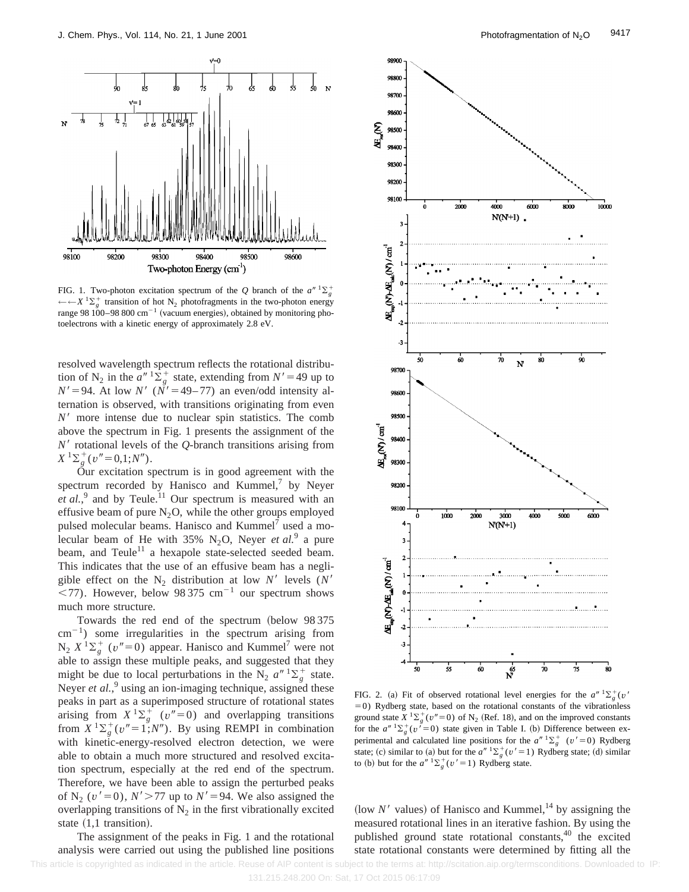

FIG. 1. Two-photon excitation spectrum of the *Q* branch of the  $a^{n}$  1 $\Sigma_g^+$ ←←*X* <sup>1</sup> $\sum_{g}$  transition of hot N<sub>2</sub> photofragments in the two-photon energy range 98  $100-98800 \text{ cm}^{-1}$  (vacuum energies), obtained by monitoring photoelectrons with a kinetic energy of approximately 2.8 eV.

resolved wavelength spectrum reflects the rotational distribution of N<sub>2</sub> in the  $a''$ <sup>1</sup> $\sum_{g}^{+}$  state, extending from  $N' = 49$  up to  $N' = 94$ . At low  $N'$  ( $\overline{N'} = 49-77$ ) an even/odd intensity alternation is observed, with transitions originating from even  $N<sup>3</sup>$  more intense due to nuclear spin statistics. The comb above the spectrum in Fig. 1 presents the assignment of the  $N<sup>3</sup>$  rotational levels of the  $Q$ -branch transitions arising from  $X^{-1}\Sigma_g^+(v''=0,1;N'').$ 

Our excitation spectrum is in good agreement with the spectrum recorded by Hanisco and Kummel, $^7$  by Neyer et al.,<sup>9</sup> and by Teule.<sup>11</sup> Our spectrum is measured with an effusive beam of pure  $N_2O$ , while the other groups employed pulsed molecular beams. Hanisco and Kummel<sup>7</sup> used a molecular beam of He with  $35\%$  N<sub>2</sub>O, Neyer *et al.*<sup>9</sup> a pure beam, and Teule<sup>11</sup> a hexapole state-selected seeded beam. This indicates that the use of an effusive beam has a negligible effect on the  $N_2$  distribution at low  $N'$  levels  $(N'$  $\langle 77 \rangle$ . However, below 98 375 cm<sup>-1</sup> our spectrum shows much more structure.

Towards the red end of the spectrum (below 98 375  $cm^{-1}$ ) some irregularities in the spectrum arising from  $N_2$   $X<sup>1</sup>\sum_{g}^{+}(v''=0)$  appear. Hanisco and Kummel<sup>7</sup> were not able to assign these multiple peaks, and suggested that they might be due to local perturbations in the N<sub>2</sub>  $a''$ <sup>1</sup> $\sum_{g}$  state. Neyer *et al.*,<sup>9</sup> using an ion-imaging technique, assigned these peaks in part as a superimposed structure of rotational states arising from  $X^1 \Sigma_g^+$  ( $v''=0$ ) and overlapping transitions from  $X^{-1}\Sigma_g^+(v''=1;N'')$ . By using REMPI in combination with kinetic-energy-resolved electron detection, we were able to obtain a much more structured and resolved excitation spectrum, especially at the red end of the spectrum. Therefore, we have been able to assign the perturbed peaks of N<sub>2</sub> ( $v' = 0$ ),  $N' > 77$  up to  $N' = 94$ . We also assigned the overlapping transitions of  $N_2$  in the first vibrationally excited state  $(1,1$  transition).

The assignment of the peaks in Fig. 1 and the rotational analysis were carried out using the published line positions



FIG. 2. (a) Fit of observed rotational level energies for the  $a'' \, {}^{1}\Sigma_{g}^{+}(v'')$  $=0$ ) Rydberg state, based on the rotational constants of the vibrationless ground state  $X^{-1}\Sigma_g^+(v''=0)$  of N<sub>2</sub> (Ref. 18), and on the improved constants for the  $a''$   ${}^{1}\Sigma_{g}^{+}(v' = 0)$  state given in Table I. (b) Difference between experimental and calculated line positions for the  $a''$ <sup>1</sup> $\Sigma_g^+$  ( $v' = 0$ ) Rydberg state; (c) similar to (a) but for the  $a''$  <sup>1</sup> $\sum_{g}^{+}(v' = 1)$  Rydberg state; (d) similar to (b) but for the  $a''$  <sup>1</sup> $\sum_{g}^{+}(v' = 1)$  Rydberg state.

(low  $N<sup>1</sup>$  values) of Hanisco and Kummel,<sup>14</sup> by assigning the measured rotational lines in an iterative fashion. By using the published ground state rotational constants, $40$  the excited state rotational constants were determined by fitting all the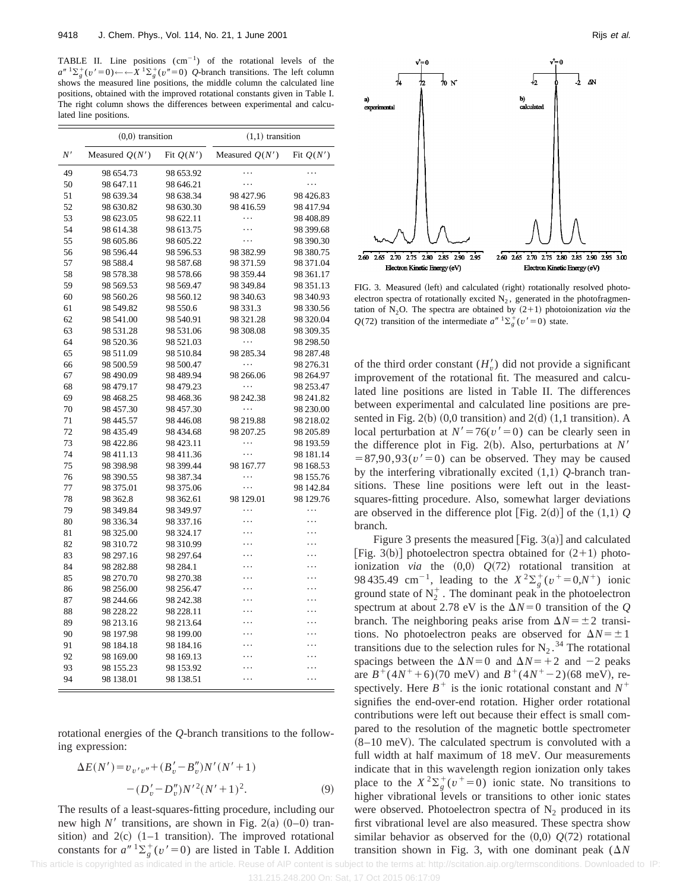TABLE II. Line positions  $(cm<sup>-1</sup>)$  of the rotational levels of the  $a^{n} 1\Sigma_g^+(v^{\prime}=0) \leftarrow \leftarrow X^{-1}\Sigma_g^+(v^{\prime\prime}=0)$  *Q*-branch transitions. The left column shows the measured line positions, the middle column the calculated line positions, obtained with the improved rotational constants given in Table I. The right column shows the differences between experimental and calculated line positions.

|    | $(0,0)$ transition |             | $(1,1)$ transition |             |
|----|--------------------|-------------|--------------------|-------------|
| N' | Measured $Q(N')$   | Fit $Q(N')$ | Measured $Q(N')$   | Fit $Q(N')$ |
| 49 | 98 654.73          | 98 653.92   | .                  | .           |
| 50 | 98 647.11          | 98 646.21   | .                  | .           |
| 51 | 98 639.34          | 98 638.34   | 98 427.96          | 98 426.83   |
| 52 | 98 630.82          | 98 630.30   | 98 416.59          | 98 417.94   |
| 53 | 98 623.05          | 98 622.11   | .                  | 98 408.89   |
| 54 | 98 614.38          | 98 613.75   | .                  | 98 399.68   |
| 55 | 98 605.86          | 98 605.22   | .                  | 98 390.30   |
| 56 | 98 596.44          | 98 596.53   | 98 382.99          | 98 380.75   |
| 57 | 98 5 88.4          | 98 587.68   | 98 371.59          | 98 371.04   |
| 58 | 98 578.38          | 98 578.66   | 98 359.44          | 98 361.17   |
| 59 | 98 569.53          | 98 569.47   | 98 349.84          | 98 351.13   |
| 60 | 98 560.26          | 98 560.12   | 98 340.63          | 98 340.93   |
| 61 | 98 549.82          | 98 550.6    | 98 331.3           | 98 330.56   |
| 62 | 98 541.00          | 98 540.91   | 98 321.28          | 98 320.04   |
| 63 | 98 531.28          | 98 531.06   | 98 308.08          | 98 309.35   |
| 64 | 98 520.36          | 98 521.03   | .                  | 98 298.50   |
| 65 | 98 511.09          | 98 510.84   | 98 285.34          | 98 287.48   |
| 66 | 98 500.59          | 98 500.47   | .                  | 98 276.31   |
| 67 | 98 490.09          | 98 489.94   | 98 266.06          | 98 264.97   |
| 68 | 98 479.17          | 98 479.23   | .                  | 98 253.47   |
| 69 | 98 4 68.25         | 98 4 68.36  | 98 242.38          | 98 241.82   |
| 70 | 98 457.30          | 98 457.30   | $\ddots$           | 98 230.00   |
| 71 | 98 445.57          | 98 44 6.08  | 98 219.88          | 98 218.02   |
| 72 | 98 435.49          | 98 434.68   | 98 207.25          | 98 205.89   |
| 73 | 98 422.86          | 98 423.11   | .                  | 98 193.59   |
| 74 | 98 411.13          | 98 411.36   | .                  | 98 181.14   |
| 75 | 98 398.98          | 98 399.44   | 98 167.77          | 98 168.53   |
| 76 | 98 390.55          | 98 387.34   | .                  | 98 155.76   |
| 77 | 98 375.01          | 98 375.06   | .                  | 98 142.84   |
| 78 | 98 362.8           | 98 362.61   | 98 129.01          | 98 129.76   |
| 79 | 98 349.84          | 98 349.97   | .                  | .           |
| 80 | 98 336.34          | 98 337.16   | .                  | .           |
| 81 | 98 325.00          | 98 324.17   |                    |             |
| 82 | 98 310.72          | 98 310.99   |                    | .           |
| 83 | 98 297.16          | 98 297.64   | .                  | .           |
| 84 | 98 282.88          | 98 284.1    |                    | .           |
| 85 | 98 270.70          | 98 270.38   |                    | .           |
| 86 | 98 256.00          | 98 256.47   |                    | .           |
| 87 | 98 244.66          | 98 242.38   | .                  | .           |
| 88 | 98 228.22          | 98 228.11   |                    | $\ddotsc$   |
| 89 | 98 213.16          | 98 213.64   |                    | .           |
| 90 | 98 197.98          | 98 199.00   |                    | $\ddotsc$   |
| 91 | 98 184.18          | 98 184.16   |                    |             |
| 92 | 98 169.00          | 98 169.13   |                    |             |
| 93 | 98 155.23          | 98 153.92   |                    |             |
| 94 | 98 138.01          | 98 138.51   | .                  | .           |

rotational energies of the *Q*-branch transitions to the following expression:

$$
\Delta E(N') = v_{v'v''} + (B_v' - B_v'')N'(N' + 1)
$$

$$
- (D_v' - D_v'')N'^2(N' + 1)^2.
$$
 (9)

The results of a least-squares-fitting procedure, including our new high  $N'$  transitions, are shown in Fig. 2(a)  $(0-0)$  transition) and  $2(c)$  (1–1 transition). The improved rotational constants for  $a''$ <sup>1</sup> $\sum_{g}^{+}(v' = 0)$  are listed in Table I. Addition



FIG. 3. Measured (left) and calculated (right) rotationally resolved photoelectron spectra of rotationally excited  $N_2$ , generated in the photofragmentation of  $N_2O$ . The spectra are obtained by  $(2+1)$  photoionization *via* the *Q*(72) transition of the intermediate  $a''$ <sup>1</sup> $\sum_{g}^{+}(v' = 0)$  state.

of the third order constant  $(H'_v)$  did not provide a significant improvement of the rotational fit. The measured and calculated line positions are listed in Table II. The differences between experimental and calculated line positions are presented in Fig.  $2(b)$  (0,0 transition) and  $2(d)$  (1,1 transition). A local perturbation at  $N' = 76(v' = 0)$  can be clearly seen in the difference plot in Fig. 2(b). Also, perturbations at  $N'$  $=87,90,93(v'=0)$  can be observed. They may be caused by the interfering vibrationally excited ~1,1! *Q*-branch transitions. These line positions were left out in the leastsquares-fitting procedure. Also, somewhat larger deviations are observed in the difference plot [Fig. 2(d)] of the  $(1,1)$   $Q$ branch.

Figure 3 presents the measured [Fig.  $3(a)$ ] and calculated [Fig. 3(b)] photoelectron spectra obtained for  $(2+1)$  photoionization *via* the  $(0,0)$   $Q(72)$  rotational transition at 98 435.49 cm<sup>-1</sup>, leading to the  $X^2 \Sigma_g^+(v^+ = 0, N^+)$  ionic ground state of  $N_2^+$ . The dominant peak in the photoelectron spectrum at about 2.78 eV is the  $\Delta N=0$  transition of the *Q* branch. The neighboring peaks arise from  $\Delta N = \pm 2$  transitions. No photoelectron peaks are observed for  $\Delta N = \pm 1$ transitions due to the selection rules for  $N_2$ .<sup>34</sup> The rotational spacings between the  $\Delta N=0$  and  $\Delta N=+2$  and  $-2$  peaks are  $B^+(4N^++6)(70 \text{ meV})$  and  $B^+(4N^+-2)(68 \text{ meV})$ , respectively. Here  $B^+$  is the ionic rotational constant and  $N^+$ signifies the end-over-end rotation. Higher order rotational contributions were left out because their effect is small compared to the resolution of the magnetic bottle spectrometer  $(8-10 \text{ meV})$ . The calculated spectrum is convoluted with a full width at half maximum of 18 meV. Our measurements indicate that in this wavelength region ionization only takes place to the  $X^2 \Sigma_g^+ (v^+ = 0)$  ionic state. No transitions to higher vibrational levels or transitions to other ionic states were observed. Photoelectron spectra of  $N_2$  produced in its first vibrational level are also measured. These spectra show similar behavior as observed for the  $(0,0)$   $Q(72)$  rotational transition shown in Fig. 3, with one dominant peak  $(\Delta N)$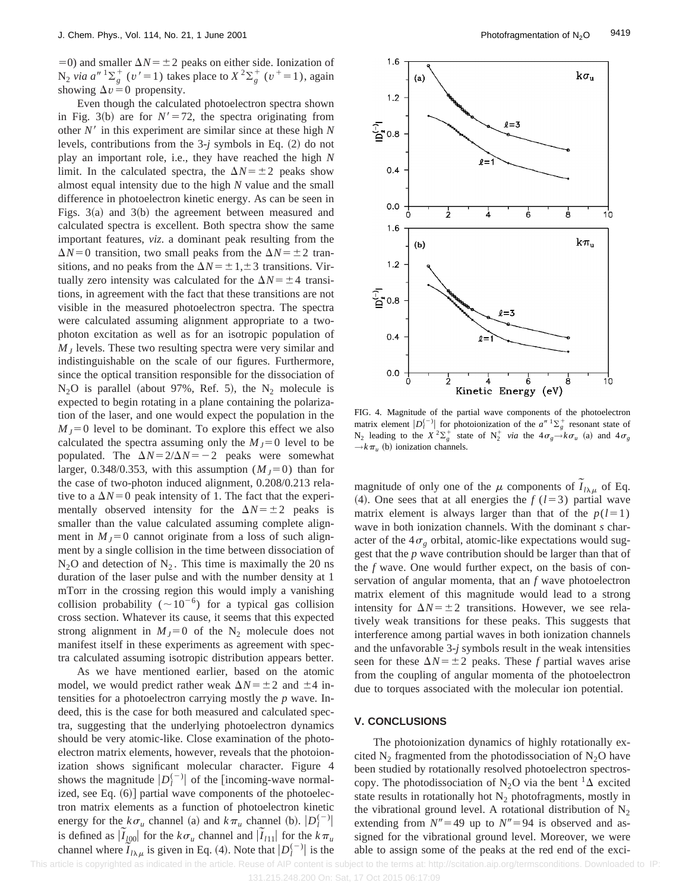$=0$ ) and smaller  $\Delta N = \pm 2$  peaks on either side. Ionization of  $N_2$  *via a*<sup>*n*</sup>  $1\Sigma_g^+$  (*v*<sup> $\prime$ </sup> = 1) takes place to  $X^2\Sigma_g^+$  (*v*<sup> $+$ </sup> = 1), again showing  $\Delta v = 0$  propensity.

Even though the calculated photoelectron spectra shown in Fig. 3(b) are for  $N' = 72$ , the spectra originating from other  $N'$  in this experiment are similar since at these high  $N$ levels, contributions from the  $3-j$  symbols in Eq.  $(2)$  do not play an important role, i.e., they have reached the high *N* limit. In the calculated spectra, the  $\Delta N = \pm 2$  peaks show almost equal intensity due to the high *N* value and the small difference in photoelectron kinetic energy. As can be seen in Figs.  $3(a)$  and  $3(b)$  the agreement between measured and calculated spectra is excellent. Both spectra show the same important features, *viz*. a dominant peak resulting from the  $\Delta N=0$  transition, two small peaks from the  $\Delta N=\pm 2$  transitions, and no peaks from the  $\Delta N = \pm 1, \pm 3$  transitions. Virtually zero intensity was calculated for the  $\Delta N = \pm 4$  transitions, in agreement with the fact that these transitions are not visible in the measured photoelectron spectra. The spectra were calculated assuming alignment appropriate to a twophoton excitation as well as for an isotropic population of  $M<sub>J</sub>$  levels. These two resulting spectra were very similar and indistinguishable on the scale of our figures. Furthermore, since the optical transition responsible for the dissociation of  $N_2O$  is parallel (about 97%, Ref. 5), the  $N_2$  molecule is expected to begin rotating in a plane containing the polarization of the laser, and one would expect the population in the  $M<sub>I</sub>=0$  level to be dominant. To explore this effect we also calculated the spectra assuming only the  $M<sub>J</sub>=0$  level to be populated. The  $\Delta N = 2/\Delta N = -2$  peaks were somewhat larger, 0.348/0.353, with this assumption  $(M_J=0)$  than for the case of two-photon induced alignment, 0.208/0.213 relative to a  $\Delta N=0$  peak intensity of 1. The fact that the experimentally observed intensity for the  $\Delta N = \pm 2$  peaks is smaller than the value calculated assuming complete alignment in  $M_J=0$  cannot originate from a loss of such alignment by a single collision in the time between dissociation of  $N_2$ O and detection of  $N_2$ . This time is maximally the 20 ns duration of the laser pulse and with the number density at 1 mTorr in the crossing region this would imply a vanishing collision probability ( $\sim 10^{-6}$ ) for a typical gas collision cross section. Whatever its cause, it seems that this expected strong alignment in  $M<sub>J</sub>=0$  of the N<sub>2</sub> molecule does not manifest itself in these experiments as agreement with spectra calculated assuming isotropic distribution appears better.

As we have mentioned earlier, based on the atomic model, we would predict rather weak  $\Delta N = \pm 2$  and  $\pm 4$  intensities for a photoelectron carrying mostly the *p* wave. Indeed, this is the case for both measured and calculated spectra, suggesting that the underlying photoelectron dynamics should be very atomic-like. Close examination of the photoelectron matrix elements, however, reveals that the photoionization shows significant molecular character. Figure 4 shows the magnitude  $|D_l^{(-)}|$  of the [incoming-wave normalized, see Eq.  $(6)$ ] partial wave components of the photoelectron matrix elements as a function of photoelectron kinetic energy for the  $k\sigma_u$  channel (a) and  $k\pi_u$  channel (b).  $|D_l^{(-)}|$ is defined as  $|\tilde{I}_{100}|$  for the  $k\sigma_u$  channel and  $|\tilde{I}_{111}|$  for the  $k\pi_u$ channel where  $\tilde{I}_{l\lambda\mu}$  is given in Eq. (4). Note that  $|D_l^{(-)}|$  is the



FIG. 4. Magnitude of the partial wave components of the photoelectron matrix element  $|D_i^{(-)}|$  for photoionization of the  $a^{n-1}\Sigma_g^+$  resonant state of  $N_2$  leading to the  $X^2 \Sigma_g^+$  state of  $N_2^+$  *via* the  $4\sigma_g \rightarrow k\sigma_u$  (a) and  $4\sigma_g$  $\rightarrow k\pi$ <sub>*u*</sub> (b) ionization channels.

magnitude of only one of the  $\mu$  components of  $\tilde{I}_{l\lambda\mu}$  of Eq. (4). One sees that at all energies the  $f(l=3)$  partial wave matrix element is always larger than that of the  $p(l=1)$ wave in both ionization channels. With the dominant *s* character of the  $4\sigma_{\varphi}$  orbital, atomic-like expectations would suggest that the *p* wave contribution should be larger than that of the *f* wave. One would further expect, on the basis of conservation of angular momenta, that an *f* wave photoelectron matrix element of this magnitude would lead to a strong intensity for  $\Delta N = \pm 2$  transitions. However, we see relatively weak transitions for these peaks. This suggests that interference among partial waves in both ionization channels and the unfavorable 3-*j* symbols result in the weak intensities seen for these  $\Delta N = \pm 2$  peaks. These *f* partial waves arise from the coupling of angular momenta of the photoelectron due to torques associated with the molecular ion potential.

#### **V. CONCLUSIONS**

The photoionization dynamics of highly rotationally excited  $N_2$  fragmented from the photodissociation of  $N_2O$  have been studied by rotationally resolved photoelectron spectroscopy. The photodissociation of N<sub>2</sub>O via the bent <sup>1</sup> $\Delta$  excited state results in rotationally hot  $N_2$  photofragments, mostly in the vibrational ground level. A rotational distribution of  $N_2$ extending from  $N''=49$  up to  $N''=94$  is observed and assigned for the vibrational ground level. Moreover, we were able to assign some of the peaks at the red end of the exci